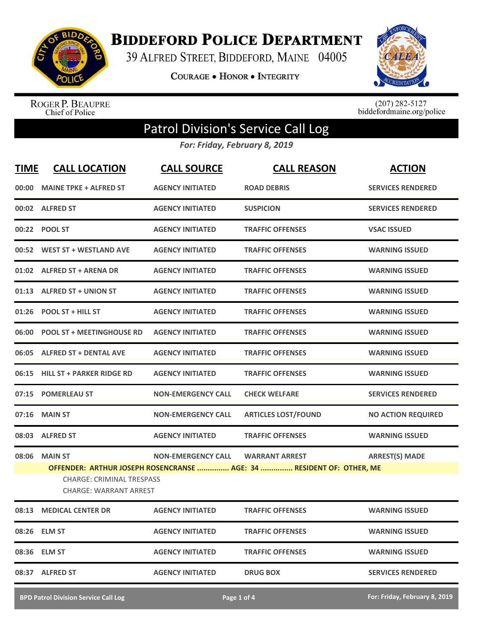

**BIDDEFORD POLICE DEPARTMENT** 

39 ALFRED STREET, BIDDEFORD, MAINE 04005

**COURAGE . HONOR . INTEGRITY** 



ROGER P. BEAUPRE<br>Chief of Police

 $(207)$  282-5127<br>biddefordmaine.org/police

## Patrol Division's Service Call Log

*For: Friday, February 8, 2019*

| <b>TIME</b> | <b>CALL LOCATION</b>                                                                | <b>CALL SOURCE</b>        | <b>CALL REASON</b>                                                                            | <b>ACTION</b>             |
|-------------|-------------------------------------------------------------------------------------|---------------------------|-----------------------------------------------------------------------------------------------|---------------------------|
| 00:00       | <b>MAINE TPKE + ALFRED ST</b>                                                       | <b>AGENCY INITIATED</b>   | <b>ROAD DEBRIS</b>                                                                            | <b>SERVICES RENDERED</b>  |
|             | 00:02 ALFRED ST                                                                     | <b>AGENCY INITIATED</b>   | <b>SUSPICION</b>                                                                              | <b>SERVICES RENDERED</b>  |
|             | 00:22 POOL ST                                                                       | <b>AGENCY INITIATED</b>   | <b>TRAFFIC OFFENSES</b>                                                                       | <b>VSAC ISSUED</b>        |
|             | 00:52 WEST ST + WESTLAND AVE                                                        | <b>AGENCY INITIATED</b>   | <b>TRAFFIC OFFENSES</b>                                                                       | <b>WARNING ISSUED</b>     |
|             | 01:02 ALFRED ST + ARENA DR                                                          | <b>AGENCY INITIATED</b>   | <b>TRAFFIC OFFENSES</b>                                                                       | <b>WARNING ISSUED</b>     |
|             | 01:13 ALFRED ST + UNION ST                                                          | <b>AGENCY INITIATED</b>   | <b>TRAFFIC OFFENSES</b>                                                                       | <b>WARNING ISSUED</b>     |
| 01:26       | <b>POOL ST + HILL ST</b>                                                            | <b>AGENCY INITIATED</b>   | <b>TRAFFIC OFFENSES</b>                                                                       | <b>WARNING ISSUED</b>     |
| 06:00       | <b>POOL ST + MEETINGHOUSE RD</b>                                                    | <b>AGENCY INITIATED</b>   | <b>TRAFFIC OFFENSES</b>                                                                       | <b>WARNING ISSUED</b>     |
|             | 06:05 ALFRED ST + DENTAL AVE                                                        | <b>AGENCY INITIATED</b>   | <b>TRAFFIC OFFENSES</b>                                                                       | <b>WARNING ISSUED</b>     |
| 06:15       | <b>HILL ST + PARKER RIDGE RD</b>                                                    | <b>AGENCY INITIATED</b>   | <b>TRAFFIC OFFENSES</b>                                                                       | <b>WARNING ISSUED</b>     |
| 07:15       | <b>POMERLEAU ST</b>                                                                 | <b>NON-EMERGENCY CALL</b> | <b>CHECK WELFARE</b>                                                                          | <b>SERVICES RENDERED</b>  |
| 07:16       | <b>MAIN ST</b>                                                                      | <b>NON-EMERGENCY CALL</b> | <b>ARTICLES LOST/FOUND</b>                                                                    | <b>NO ACTION REQUIRED</b> |
| 08:03       | <b>ALFRED ST</b>                                                                    | <b>AGENCY INITIATED</b>   | <b>TRAFFIC OFFENSES</b>                                                                       | <b>WARNING ISSUED</b>     |
| 08:06       | <b>MAIN ST</b><br><b>CHARGE: CRIMINAL TRESPASS</b><br><b>CHARGE: WARRANT ARREST</b> | <b>NON-EMERGENCY CALL</b> | <b>WARRANT ARREST</b><br>OFFENDER: ARTHUR JOSEPH ROSENCRANSE  AGE: 34  RESIDENT OF: OTHER, ME | <b>ARREST(S) MADE</b>     |
|             | 08:13 MEDICAL CENTER DR                                                             | <b>AGENCY INITIATED</b>   | <b>TRAFFIC OFFENSES</b>                                                                       | <b>WARNING ISSUED</b>     |
|             | 08:26 ELM ST                                                                        | <b>AGENCY INITIATED</b>   | <b>TRAFFIC OFFENSES</b>                                                                       | <b>WARNING ISSUED</b>     |
|             | 08:36 ELM ST                                                                        | <b>AGENCY INITIATED</b>   | <b>TRAFFIC OFFENSES</b>                                                                       | <b>WARNING ISSUED</b>     |
|             | 08:37 ALFRED ST                                                                     | <b>AGENCY INITIATED</b>   | <b>DRUG BOX</b>                                                                               | <b>SERVICES RENDERED</b>  |
|             |                                                                                     |                           |                                                                                               |                           |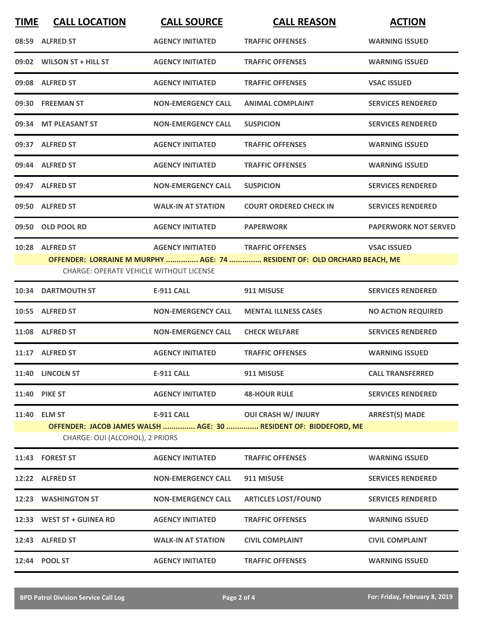| <b>TIME</b> | <b>CALL LOCATION</b>                                              | <b>CALL SOURCE</b>        | <b>CALL REASON</b>                                                                                  | <b>ACTION</b>               |
|-------------|-------------------------------------------------------------------|---------------------------|-----------------------------------------------------------------------------------------------------|-----------------------------|
|             | 08:59 ALFRED ST                                                   | <b>AGENCY INITIATED</b>   | <b>TRAFFIC OFFENSES</b>                                                                             | <b>WARNING ISSUED</b>       |
|             | 09:02 WILSON ST + HILL ST                                         | <b>AGENCY INITIATED</b>   | <b>TRAFFIC OFFENSES</b>                                                                             | <b>WARNING ISSUED</b>       |
|             | 09:08 ALFRED ST                                                   | <b>AGENCY INITIATED</b>   | <b>TRAFFIC OFFENSES</b>                                                                             | <b>VSAC ISSUED</b>          |
|             | 09:30 FREEMAN ST                                                  | <b>NON-EMERGENCY CALL</b> | <b>ANIMAL COMPLAINT</b>                                                                             | <b>SERVICES RENDERED</b>    |
|             | 09:34 MT PLEASANT ST                                              | <b>NON-EMERGENCY CALL</b> | <b>SUSPICION</b>                                                                                    | <b>SERVICES RENDERED</b>    |
|             | 09:37 ALFRED ST                                                   | <b>AGENCY INITIATED</b>   | <b>TRAFFIC OFFENSES</b>                                                                             | <b>WARNING ISSUED</b>       |
|             | 09:44 ALFRED ST                                                   | <b>AGENCY INITIATED</b>   | <b>TRAFFIC OFFENSES</b>                                                                             | <b>WARNING ISSUED</b>       |
|             | 09:47 ALFRED ST                                                   | <b>NON-EMERGENCY CALL</b> | <b>SUSPICION</b>                                                                                    | <b>SERVICES RENDERED</b>    |
|             | 09:50 ALFRED ST                                                   | <b>WALK-IN AT STATION</b> | <b>COURT ORDERED CHECK IN</b>                                                                       | <b>SERVICES RENDERED</b>    |
|             | 09:50 OLD POOL RD                                                 | <b>AGENCY INITIATED</b>   | <b>PAPERWORK</b>                                                                                    | <b>PAPERWORK NOT SERVED</b> |
|             | 10:28 ALFRED ST<br><b>CHARGE: OPERATE VEHICLE WITHOUT LICENSE</b> | <b>AGENCY INITIATED</b>   | <b>TRAFFIC OFFENSES</b><br>OFFENDER: LORRAINE M MURPHY  AGE: 74  RESIDENT OF: OLD ORCHARD BEACH, ME | <b>VSAC ISSUED</b>          |
|             | 10:34 DARTMOUTH ST                                                | <b>E-911 CALL</b>         | 911 MISUSE                                                                                          | <b>SERVICES RENDERED</b>    |
|             | 10:55 ALFRED ST                                                   | <b>NON-EMERGENCY CALL</b> | <b>MENTAL ILLNESS CASES</b>                                                                         | <b>NO ACTION REQUIRED</b>   |
|             | 11:08 ALFRED ST                                                   | <b>NON-EMERGENCY CALL</b> | <b>CHECK WELFARE</b>                                                                                | <b>SERVICES RENDERED</b>    |
|             | 11:17 ALFRED ST                                                   | <b>AGENCY INITIATED</b>   | <b>TRAFFIC OFFENSES</b>                                                                             | <b>WARNING ISSUED</b>       |
|             | 11:40 LINCOLN ST                                                  | <b>E-911 CALL</b>         | 911 MISUSE                                                                                          | <b>CALL TRANSFERRED</b>     |
|             | <b>11:40 PIKE ST</b>                                              | <b>AGENCY INITIATED</b>   | <b>48-HOUR RULE</b>                                                                                 | <b>SERVICES RENDERED</b>    |
|             | 11:40 ELM ST<br>CHARGE: OUI (ALCOHOL), 2 PRIORS                   | <b>E-911 CALL</b>         | <b>OUI CRASH W/ INJURY</b><br>OFFENDER: JACOB JAMES WALSH  AGE: 30  RESIDENT OF: BIDDEFORD, ME      | <b>ARREST(S) MADE</b>       |
|             | 11:43 FOREST ST                                                   | <b>AGENCY INITIATED</b>   | <b>TRAFFIC OFFENSES</b>                                                                             | <b>WARNING ISSUED</b>       |
|             | 12:22 ALFRED ST                                                   | <b>NON-EMERGENCY CALL</b> | 911 MISUSE                                                                                          | <b>SERVICES RENDERED</b>    |
|             | 12:23 WASHINGTON ST                                               | <b>NON-EMERGENCY CALL</b> | <b>ARTICLES LOST/FOUND</b>                                                                          | <b>SERVICES RENDERED</b>    |
|             | 12:33 WEST ST + GUINEA RD                                         | <b>AGENCY INITIATED</b>   | <b>TRAFFIC OFFENSES</b>                                                                             | <b>WARNING ISSUED</b>       |
|             | 12:43 ALFRED ST                                                   | <b>WALK-IN AT STATION</b> | <b>CIVIL COMPLAINT</b>                                                                              | <b>CIVIL COMPLAINT</b>      |
|             | 12:44 POOL ST                                                     | <b>AGENCY INITIATED</b>   | <b>TRAFFIC OFFENSES</b>                                                                             | <b>WARNING ISSUED</b>       |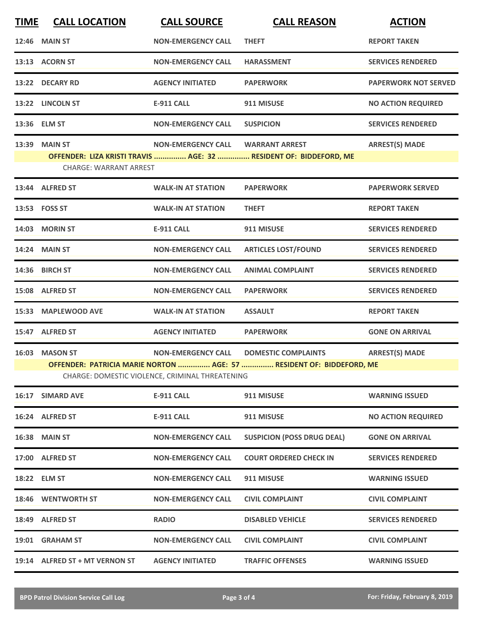| <b>CALL LOCATION</b>                                                                                                    | <b>CALL SOURCE</b>        | <b>CALL REASON</b>                | <b>ACTION</b>                                                     |  |  |
|-------------------------------------------------------------------------------------------------------------------------|---------------------------|-----------------------------------|-------------------------------------------------------------------|--|--|
| <b>MAIN ST</b>                                                                                                          | <b>NON-EMERGENCY CALL</b> | <b>THEFT</b>                      | <b>REPORT TAKEN</b>                                               |  |  |
| 13:13 ACORN ST                                                                                                          | <b>NON-EMERGENCY CALL</b> | <b>HARASSMENT</b>                 | <b>SERVICES RENDERED</b>                                          |  |  |
| 13:22 DECARY RD                                                                                                         | <b>AGENCY INITIATED</b>   | <b>PAPERWORK</b>                  | <b>PAPERWORK NOT SERVED</b>                                       |  |  |
| 13:22 LINCOLN ST                                                                                                        | E-911 CALL                | 911 MISUSE                        | <b>NO ACTION REQUIRED</b>                                         |  |  |
| 13:36 ELM ST                                                                                                            | <b>NON-EMERGENCY CALL</b> | <b>SUSPICION</b>                  | <b>SERVICES RENDERED</b>                                          |  |  |
| <b>MAIN ST</b>                                                                                                          | <b>NON-EMERGENCY CALL</b> | <b>WARRANT ARREST</b>             | <b>ARREST(S) MADE</b>                                             |  |  |
|                                                                                                                         |                           |                                   |                                                                   |  |  |
| 13:44 ALFRED ST                                                                                                         | <b>WALK-IN AT STATION</b> | <b>PAPERWORK</b>                  | <b>PAPERWORK SERVED</b>                                           |  |  |
| 13:53    FOSS ST                                                                                                        | <b>WALK-IN AT STATION</b> | <b>THEFT</b>                      | <b>REPORT TAKEN</b>                                               |  |  |
| 14:03 MORIN ST                                                                                                          | <b>E-911 CALL</b>         | 911 MISUSE                        | <b>SERVICES RENDERED</b>                                          |  |  |
| <b>14:24 MAIN ST</b>                                                                                                    | <b>NON-EMERGENCY CALL</b> | <b>ARTICLES LOST/FOUND</b>        | <b>SERVICES RENDERED</b>                                          |  |  |
| 14:36 BIRCH ST                                                                                                          | <b>NON-EMERGENCY CALL</b> | <b>ANIMAL COMPLAINT</b>           | <b>SERVICES RENDERED</b>                                          |  |  |
| 15:08 ALFRED ST                                                                                                         | <b>NON-EMERGENCY CALL</b> | <b>PAPERWORK</b>                  | <b>SERVICES RENDERED</b>                                          |  |  |
| <b>MAPLEWOOD AVE</b>                                                                                                    | <b>WALK-IN AT STATION</b> | <b>ASSAULT</b>                    | <b>REPORT TAKEN</b>                                               |  |  |
| 15:47 ALFRED ST                                                                                                         | <b>AGENCY INITIATED</b>   | <b>PAPERWORK</b>                  | <b>GONE ON ARRIVAL</b>                                            |  |  |
| <b>MASON ST</b>                                                                                                         | <b>NON-EMERGENCY CALL</b> | <b>DOMESTIC COMPLAINTS</b>        | <b>ARREST(S) MADE</b>                                             |  |  |
| OFFENDER: PATRICIA MARIE NORTON  AGE: 57  RESIDENT OF: BIDDEFORD, ME<br>CHARGE: DOMESTIC VIOLENCE, CRIMINAL THREATENING |                           |                                   |                                                                   |  |  |
| 16:17 SIMARD AVE                                                                                                        | <b>E-911 CALL</b>         | 911 MISUSE                        | <b>WARNING ISSUED</b>                                             |  |  |
| 16:24 ALFRED ST                                                                                                         | <b>E-911 CALL</b>         | 911 MISUSE                        | <b>NO ACTION REQUIRED</b>                                         |  |  |
| <b>16:38 MAIN ST</b>                                                                                                    | <b>NON-EMERGENCY CALL</b> | <b>SUSPICION (POSS DRUG DEAL)</b> | <b>GONE ON ARRIVAL</b>                                            |  |  |
| 17:00 ALFRED ST                                                                                                         | <b>NON-EMERGENCY CALL</b> | <b>COURT ORDERED CHECK IN</b>     | <b>SERVICES RENDERED</b>                                          |  |  |
| 18:22 ELM ST                                                                                                            | <b>NON-EMERGENCY CALL</b> | 911 MISUSE                        | <b>WARNING ISSUED</b>                                             |  |  |
| 18:46 WENTWORTH ST                                                                                                      | <b>NON-EMERGENCY CALL</b> | <b>CIVIL COMPLAINT</b>            | <b>CIVIL COMPLAINT</b>                                            |  |  |
| 18:49 ALFRED ST                                                                                                         | <b>RADIO</b>              | <b>DISABLED VEHICLE</b>           | <b>SERVICES RENDERED</b>                                          |  |  |
| 19:01 GRAHAM ST                                                                                                         | <b>NON-EMERGENCY CALL</b> | <b>CIVIL COMPLAINT</b>            | <b>CIVIL COMPLAINT</b>                                            |  |  |
| 19:14 ALFRED ST + MT VERNON ST                                                                                          | <b>AGENCY INITIATED</b>   | <b>TRAFFIC OFFENSES</b>           | <b>WARNING ISSUED</b>                                             |  |  |
|                                                                                                                         |                           | <b>CHARGE: WARRANT ARREST</b>     | OFFENDER: LIZA KRISTI TRAVIS  AGE: 32  RESIDENT OF: BIDDEFORD, ME |  |  |